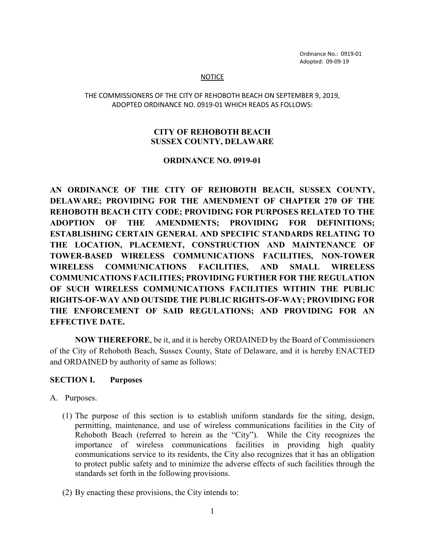Ordinance No.: 0919-01 Adopted: 09-09-19

#### **NOTICE**

#### THE COMMISSIONERS OF THE CITY OF REHOBOTH BEACH ON SEPTEMBER 9, 2019, ADOPTED ORDINANCE NO. 0919-01 WHICH READS AS FOLLOWS:

#### **CITY OF REHOBOTH BEACH SUSSEX COUNTY, DELAWARE**

#### **ORDINANCE NO. 0919-01**

**AN ORDINANCE OF THE CITY OF REHOBOTH BEACH, SUSSEX COUNTY, DELAWARE; PROVIDING FOR THE AMENDMENT OF CHAPTER 270 OF THE REHOBOTH BEACH CITY CODE; PROVIDING FOR PURPOSES RELATED TO THE ADOPTION OF THE AMENDMENTS; PROVIDING FOR DEFINITIONS; ESTABLISHING CERTAIN GENERAL AND SPECIFIC STANDARDS RELATING TO THE LOCATION, PLACEMENT, CONSTRUCTION AND MAINTENANCE OF TOWER-BASED WIRELESS COMMUNICATIONS FACILITIES, NON-TOWER WIRELESS COMMUNICATIONS FACILITIES, AND SMALL WIRELESS COMMUNICATIONS FACILITIES; PROVIDING FURTHER FOR THE REGULATION OF SUCH WIRELESS COMMUNICATIONS FACILITIES WITHIN THE PUBLIC RIGHTS-OF-WAY AND OUTSIDE THE PUBLIC RIGHTS-OF-WAY; PROVIDING FOR THE ENFORCEMENT OF SAID REGULATIONS; AND PROVIDING FOR AN EFFECTIVE DATE.**

**NOW THEREFORE**, be it, and it is hereby ORDAINED by the Board of Commissioners of the City of Rehoboth Beach, Sussex County, State of Delaware, and it is hereby ENACTED and ORDAINED by authority of same as follows:

# **SECTION I. Purposes**

#### A. Purposes.

- (1) The purpose of this section is to establish uniform standards for the siting, design, permitting, maintenance, and use of wireless communications facilities in the City of Rehoboth Beach (referred to herein as the "City"). While the City recognizes the importance of wireless communications facilities in providing high quality communications service to its residents, the City also recognizes that it has an obligation to protect public safety and to minimize the adverse effects of such facilities through the standards set forth in the following provisions.
- (2) By enacting these provisions, the City intends to: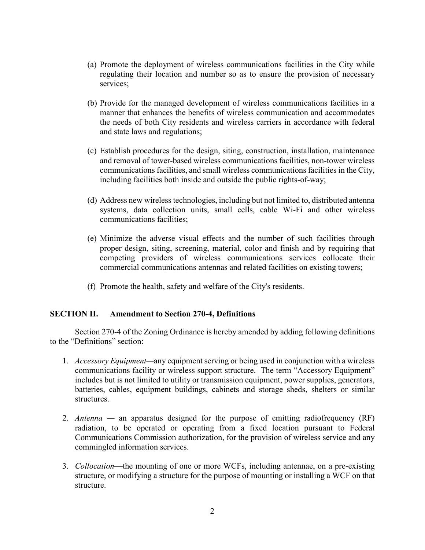- (a) Promote the deployment of wireless communications facilities in the City while regulating their location and number so as to ensure the provision of necessary services;
- (b) Provide for the managed development of wireless communications facilities in a manner that enhances the benefits of wireless communication and accommodates the needs of both City residents and wireless carriers in accordance with federal and state laws and regulations;
- (c) Establish procedures for the design, siting, construction, installation, maintenance and removal of tower-based wireless communications facilities, non-tower wireless communications facilities, and small wireless communications facilities in the City, including facilities both inside and outside the public rights-of-way;
- (d) Address new wireless technologies, including but not limited to, distributed antenna systems, data collection units, small cells, cable Wi-Fi and other wireless communications facilities;
- (e) Minimize the adverse visual effects and the number of such facilities through proper design, siting, screening, material, color and finish and by requiring that competing providers of wireless communications services collocate their commercial communications antennas and related facilities on existing towers;
- (f) Promote the health, safety and welfare of the City's residents.

# **SECTION II. Amendment to Section 270-4, Definitions**

Section 270-4 of the Zoning Ordinance is hereby amended by adding following definitions to the "Definitions" section:

- 1. *Accessory Equipment—*any equipment serving or being used in conjunction with a wireless communications facility or wireless support structure. The term "Accessory Equipment" includes but is not limited to utility or transmission equipment, power supplies, generators, batteries, cables, equipment buildings, cabinets and storage sheds, shelters or similar structures.
- 2. *Antenna —* an apparatus designed for the purpose of emitting radiofrequency (RF) radiation, to be operated or operating from a fixed location pursuant to Federal Communications Commission authorization, for the provision of wireless service and any commingled information services.
- 3. *Collocation*—the mounting of one or more WCFs, including antennae, on a pre-existing structure, or modifying a structure for the purpose of mounting or installing a WCF on that structure.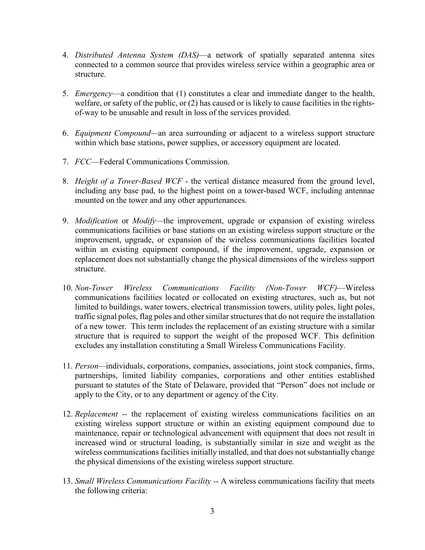- 4. *Distributed Antenna System (DAS)*—a network of spatially separated antenna sites connected to a common source that provides wireless service within a geographic area or structure.
- 5. *Emergency*—a condition that (1) constitutes a clear and immediate danger to the health, welfare, or safety of the public, or (2) has caused or is likely to cause facilities in the rightsof-way to be unusable and result in loss of the services provided.
- 6. *Equipment Compound—*an area surrounding or adjacent to a wireless support structure within which base stations, power supplies, or accessory equipment are located.
- 7. *FCC*—Federal Communications Commission.
- 8. *Height of a Tower-Based WCF* the vertical distance measured from the ground level, including any base pad, to the highest point on a tower-based WCF, including antennae mounted on the tower and any other appurtenances.
- 9. *Modification* or *Modify—*the improvement, upgrade or expansion of existing wireless communications facilities or base stations on an existing wireless support structure or the improvement, upgrade, or expansion of the wireless communications facilities located within an existing equipment compound, if the improvement, upgrade, expansion or replacement does not substantially change the physical dimensions of the wireless support structure.
- 10. *Non-Tower Wireless Communications Facility (Non-Tower WCF)*—Wireless communications facilities located or collocated on existing structures, such as, but not limited to buildings, water towers, electrical transmission towers, utility poles, light poles, traffic signal poles, flag poles and other similar structures that do not require the installation of a new tower. This term includes the replacement of an existing structure with a similar structure that is required to support the weight of the proposed WCF. This definition excludes any installation constituting a Small Wireless Communications Facility.
- 11. *Person—*individuals, corporations, companies, associations, joint stock companies, firms, partnerships, limited liability companies, corporations and other entities established pursuant to statutes of the State of Delaware, provided that "Person" does not include or apply to the City, or to any department or agency of the City.
- 12. *Replacement --* the replacement of existing wireless communications facilities on an existing wireless support structure or within an existing equipment compound due to maintenance, repair or technological advancement with equipment that does not result in increased wind or structural loading, is substantially similar in size and weight as the wireless communications facilities initially installed, and that does not substantially change the physical dimensions of the existing wireless support structure.
- 13. *Small Wireless Communications Facility --* A wireless communications facility that meets the following criteria: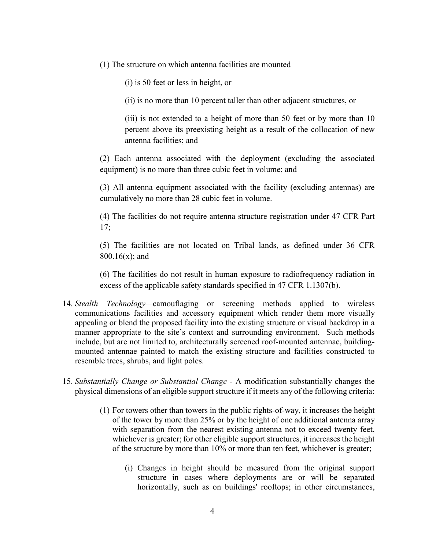(1) The structure on which antenna facilities are mounted—

(i) is 50 feet or less in height, or

(ii) is no more than 10 percent taller than other adjacent structures, or

(iii) is not extended to a height of more than 50 feet or by more than 10 percent above its preexisting height as a result of the collocation of new antenna facilities; and

(2) Each antenna associated with the deployment (excluding the associated equipment) is no more than three cubic feet in volume; and

(3) All antenna equipment associated with the facility (excluding antennas) are cumulatively no more than 28 cubic feet in volume.

(4) The facilities do not require antenna structure registration under 47 CFR Part 17;

(5) The facilities are not located on Tribal lands, as defined under 36 CFR 800.16(x); and

(6) The facilities do not result in human exposure to radiofrequency radiation in excess of the applicable safety standards specified in 47 CFR 1.1307(b).

- 14. *Stealth Technology—*camouflaging or screening methods applied to wireless communications facilities and accessory equipment which render them more visually appealing or blend the proposed facility into the existing structure or visual backdrop in a manner appropriate to the site's context and surrounding environment. Such methods include, but are not limited to, architecturally screened roof-mounted antennae, buildingmounted antennae painted to match the existing structure and facilities constructed to resemble trees, shrubs, and light poles.
- 15. *Substantially Change or Substantial Change*  A modification substantially changes the physical dimensions of an eligible support structure if it meets any of the following criteria:
	- (1) For towers other than towers in the public rights-of-way, it increases the height of the tower by more than 25% or by the height of one additional antenna array with separation from the nearest existing antenna not to exceed twenty feet, whichever is greater; for other eligible support structures, it increases the height of the structure by more than 10% or more than ten feet, whichever is greater;
		- (i) Changes in height should be measured from the original support structure in cases where deployments are or will be separated horizontally, such as on buildings' rooftops; in other circumstances,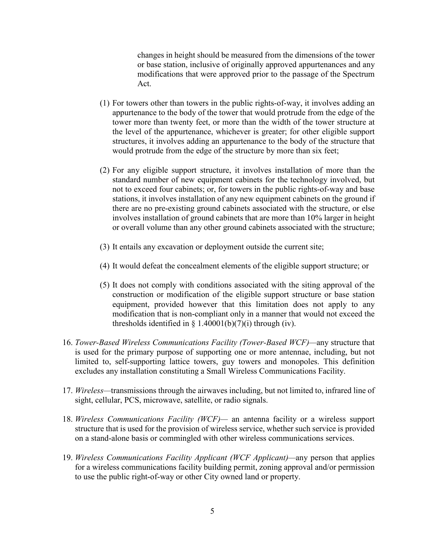changes in height should be measured from the dimensions of the tower or base station, inclusive of originally approved appurtenances and any modifications that were approved prior to the passage of the Spectrum Act.

- (1) For towers other than towers in the public rights-of-way, it involves adding an appurtenance to the body of the tower that would protrude from the edge of the tower more than twenty feet, or more than the width of the tower structure at the level of the appurtenance, whichever is greater; for other eligible support structures, it involves adding an appurtenance to the body of the structure that would protrude from the edge of the structure by more than six feet;
- (2) For any eligible support structure, it involves installation of more than the standard number of new equipment cabinets for the technology involved, but not to exceed four cabinets; or, for towers in the public rights-of-way and base stations, it involves installation of any new equipment cabinets on the ground if there are no pre-existing ground cabinets associated with the structure, or else involves installation of ground cabinets that are more than 10% larger in height or overall volume than any other ground cabinets associated with the structure;
- (3) It entails any excavation or deployment outside the current site;
- (4) It would defeat the concealment elements of the eligible support structure; or
- (5) It does not comply with conditions associated with the siting approval of the construction or modification of the eligible support structure or base station equipment, provided however that this limitation does not apply to any modification that is non-compliant only in a manner that would not exceed the thresholds identified in  $\S$  1.40001(b)(7)(i) through (iv).
- 16. *Tower-Based Wireless Communications Facility (Tower-Based WCF)—*any structure that is used for the primary purpose of supporting one or more antennae, including, but not limited to, self-supporting lattice towers, guy towers and monopoles. This definition excludes any installation constituting a Small Wireless Communications Facility.
- 17. *Wireless—*transmissions through the airwaves including, but not limited to, infrared line of sight, cellular, PCS, microwave, satellite, or radio signals.
- 18. *Wireless Communications Facility (WCF)—* an antenna facility or a wireless support structure that is used for the provision of wireless service, whether such service is provided on a stand-alone basis or commingled with other wireless communications services.
- 19. *Wireless Communications Facility Applicant (WCF Applicant)—*any person that applies for a wireless communications facility building permit, zoning approval and/or permission to use the public right-of-way or other City owned land or property.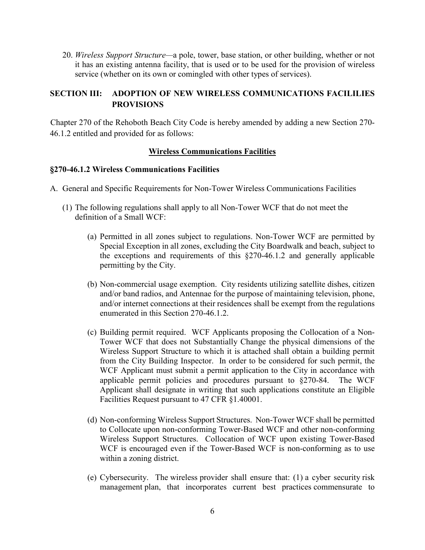20. *Wireless Support Structure—*a pole, tower, base station, or other building, whether or not it has an existing antenna facility, that is used or to be used for the provision of wireless service (whether on its own or comingled with other types of services).

# **SECTION III: ADOPTION OF NEW WIRELESS COMMUNICATIONS FACILILIES PROVISIONS**

Chapter 270 of the Rehoboth Beach City Code is hereby amended by adding a new Section 270- 46.1.2 entitled and provided for as follows:

# **Wireless Communications Facilities**

# **§270-46.1.2 Wireless Communications Facilities**

- A. General and Specific Requirements for Non-Tower Wireless Communications Facilities
	- (1) The following regulations shall apply to all Non-Tower WCF that do not meet the definition of a Small WCF:
		- (a) Permitted in all zones subject to regulations. Non-Tower WCF are permitted by Special Exception in all zones, excluding the City Boardwalk and beach, subject to the exceptions and requirements of this §270-46.1.2 and generally applicable permitting by the City.
		- (b) Non-commercial usage exemption. City residents utilizing satellite dishes, citizen and/or band radios, and Antennae for the purpose of maintaining television, phone, and/or internet connections at their residences shall be exempt from the regulations enumerated in this Section 270-46.1.2.
		- (c) Building permit required. WCF Applicants proposing the Collocation of a Non-Tower WCF that does not Substantially Change the physical dimensions of the Wireless Support Structure to which it is attached shall obtain a building permit from the City Building Inspector. In order to be considered for such permit, the WCF Applicant must submit a permit application to the City in accordance with applicable permit policies and procedures pursuant to §270-84. The WCF Applicant shall designate in writing that such applications constitute an Eligible Facilities Request pursuant to 47 CFR §1.40001.
		- (d) Non-conforming Wireless Support Structures. Non-Tower WCF shall be permitted to Collocate upon non-conforming Tower-Based WCF and other non-conforming Wireless Support Structures. Collocation of WCF upon existing Tower-Based WCF is encouraged even if the Tower-Based WCF is non-conforming as to use within a zoning district.
		- (e) Cybersecurity. The wireless provider shall ensure that: (1) a cyber security risk management plan, that incorporates current best practices commensurate to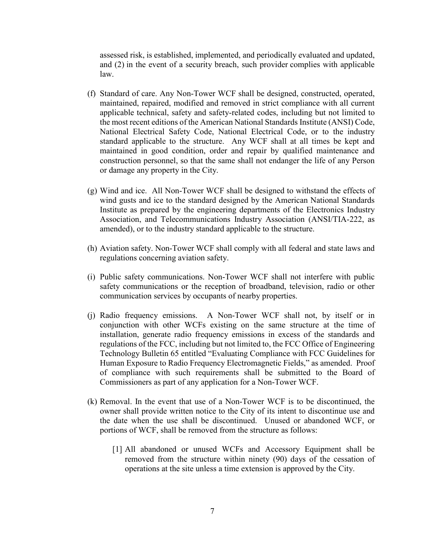assessed risk, is established, implemented, and periodically evaluated and updated, and (2) in the event of a security breach, such provider complies with applicable law.

- (f) Standard of care. Any Non-Tower WCF shall be designed, constructed, operated, maintained, repaired, modified and removed in strict compliance with all current applicable technical, safety and safety-related codes, including but not limited to the most recent editions of the American National Standards Institute (ANSI) Code, National Electrical Safety Code, National Electrical Code, or to the industry standard applicable to the structure. Any WCF shall at all times be kept and maintained in good condition, order and repair by qualified maintenance and construction personnel, so that the same shall not endanger the life of any Person or damage any property in the City.
- (g) Wind and ice. All Non-Tower WCF shall be designed to withstand the effects of wind gusts and ice to the standard designed by the American National Standards Institute as prepared by the engineering departments of the Electronics Industry Association, and Telecommunications Industry Association (ANSI/TIA-222, as amended), or to the industry standard applicable to the structure.
- (h) Aviation safety. Non-Tower WCF shall comply with all federal and state laws and regulations concerning aviation safety.
- (i) Public safety communications. Non-Tower WCF shall not interfere with public safety communications or the reception of broadband, television, radio or other communication services by occupants of nearby properties.
- (j) Radio frequency emissions.A Non-Tower WCF shall not, by itself or in conjunction with other WCFs existing on the same structure at the time of installation, generate radio frequency emissions in excess of the standards and regulations of the FCC, including but not limited to, the FCC Office of Engineering Technology Bulletin 65 entitled "Evaluating Compliance with FCC Guidelines for Human Exposure to Radio Frequency Electromagnetic Fields," as amended. Proof of compliance with such requirements shall be submitted to the Board of Commissioners as part of any application for a Non-Tower WCF.
- (k) Removal. In the event that use of a Non-Tower WCF is to be discontinued, the owner shall provide written notice to the City of its intent to discontinue use and the date when the use shall be discontinued. Unused or abandoned WCF, or portions of WCF, shall be removed from the structure as follows:
	- [1] All abandoned or unused WCFs and Accessory Equipment shall be removed from the structure within ninety (90) days of the cessation of operations at the site unless a time extension is approved by the City.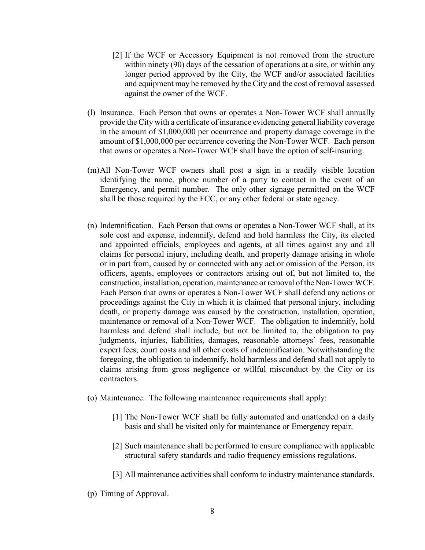- [2] If the WCF or Accessory Equipment is not removed from the structure within ninety (90) days of the cessation of operations at a site, or within any longer period approved by the City, the WCF and/or associated facilities and equipment may be removed by the City and the cost of removal assessed against the owner of the WCF.
- (l) Insurance. Each Person that owns or operates a Non-Tower WCF shall annually provide the City with a certificate of insurance evidencing general liability coverage in the amount of \$1,000,000 per occurrence and property damage coverage in the amount of \$1,000,000 per occurrence covering the Non-Tower WCF. Each person that owns or operates a Non-Tower WCF shall have the option of self-insuring.
- (m)All Non-Tower WCF owners shall post a sign in a readily visible location identifying the name, phone number of a party to contact in the event of an Emergency, and permit number. The only other signage permitted on the WCF shall be those required by the FCC, or any other federal or state agency.
- (n) Indemnification*.* Each Person that owns or operates a Non-Tower WCF shall, at its sole cost and expense, indemnify, defend and hold harmless the City, its elected and appointed officials, employees and agents, at all times against any and all claims for personal injury, including death, and property damage arising in whole or in part from, caused by or connected with any act or omission of the Person, its officers, agents, employees or contractors arising out of, but not limited to, the construction, installation, operation, maintenance or removal of the Non-Tower WCF. Each Person that owns or operates a Non-Tower WCF shall defend any actions or proceedings against the City in which it is claimed that personal injury, including death, or property damage was caused by the construction, installation, operation, maintenance or removal of a Non-Tower WCF. The obligation to indemnify, hold harmless and defend shall include, but not be limited to, the obligation to pay judgments, injuries, liabilities, damages, reasonable attorneys' fees, reasonable expert fees, court costs and all other costs of indemnification. Notwithstanding the foregoing, the obligation to indemnify, hold harmless and defend shall not apply to claims arising from gross negligence or willful misconduct by the City or its contractors.
- (o) Maintenance. The following maintenance requirements shall apply:
	- [1] The Non-Tower WCF shall be fully automated and unattended on a daily basis and shall be visited only for maintenance or Emergency repair.
	- [2] Such maintenance shall be performed to ensure compliance with applicable structural safety standards and radio frequency emissions regulations.
	- [3] All maintenance activities shall conform to industry maintenance standards.
- (p) Timing of Approval.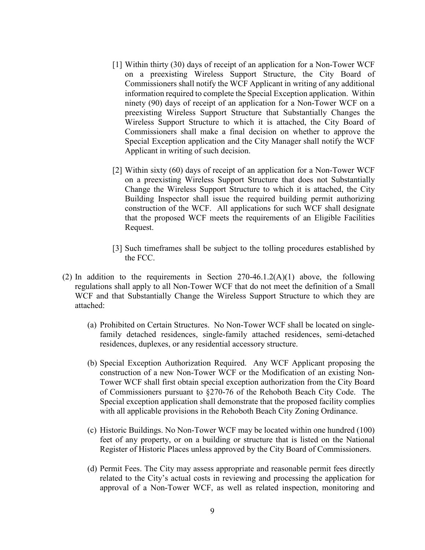- [1] Within thirty (30) days of receipt of an application for a Non-Tower WCF on a preexisting Wireless Support Structure, the City Board of Commissioners shall notify the WCF Applicant in writing of any additional information required to complete the Special Exception application. Within ninety (90) days of receipt of an application for a Non-Tower WCF on a preexisting Wireless Support Structure that Substantially Changes the Wireless Support Structure to which it is attached, the City Board of Commissioners shall make a final decision on whether to approve the Special Exception application and the City Manager shall notify the WCF Applicant in writing of such decision.
- [2] Within sixty (60) days of receipt of an application for a Non-Tower WCF on a preexisting Wireless Support Structure that does not Substantially Change the Wireless Support Structure to which it is attached, the City Building Inspector shall issue the required building permit authorizing construction of the WCF. All applications for such WCF shall designate that the proposed WCF meets the requirements of an Eligible Facilities Request.
- [3] Such timeframes shall be subject to the tolling procedures established by the FCC.
- (2) In addition to the requirements in Section  $270-46.1.2(A)(1)$  above, the following regulations shall apply to all Non-Tower WCF that do not meet the definition of a Small WCF and that Substantially Change the Wireless Support Structure to which they are attached:
	- (a) Prohibited on Certain Structures. No Non-Tower WCF shall be located on singlefamily detached residences, single-family attached residences, semi-detached residences, duplexes, or any residential accessory structure.
	- (b) Special Exception Authorization Required. Any WCF Applicant proposing the construction of a new Non-Tower WCF or the Modification of an existing Non-Tower WCF shall first obtain special exception authorization from the City Board of Commissioners pursuant to §270-76 of the Rehoboth Beach City Code. The Special exception application shall demonstrate that the proposed facility complies with all applicable provisions in the Rehoboth Beach City Zoning Ordinance.
	- (c) Historic Buildings. No Non-Tower WCF may be located within one hundred (100) feet of any property, or on a building or structure that is listed on the National Register of Historic Places unless approved by the City Board of Commissioners.
	- (d) Permit Fees. The City may assess appropriate and reasonable permit fees directly related to the City's actual costs in reviewing and processing the application for approval of a Non-Tower WCF, as well as related inspection, monitoring and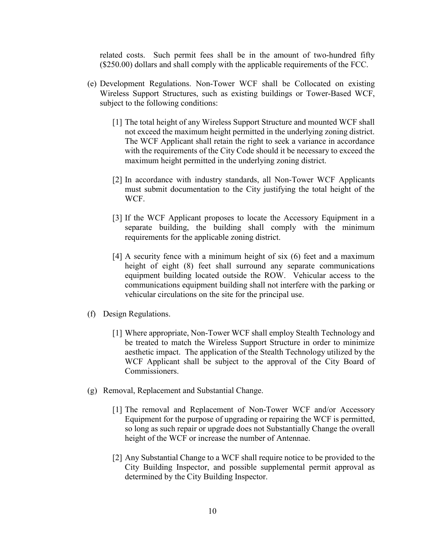related costs. Such permit fees shall be in the amount of two-hundred fifty (\$250.00) dollars and shall comply with the applicable requirements of the FCC.

- (e) Development Regulations. Non-Tower WCF shall be Collocated on existing Wireless Support Structures, such as existing buildings or Tower-Based WCF, subject to the following conditions:
	- [1] The total height of any Wireless Support Structure and mounted WCF shall not exceed the maximum height permitted in the underlying zoning district. The WCF Applicant shall retain the right to seek a variance in accordance with the requirements of the City Code should it be necessary to exceed the maximum height permitted in the underlying zoning district.
	- [2] In accordance with industry standards, all Non-Tower WCF Applicants must submit documentation to the City justifying the total height of the WCF.
	- [3] If the WCF Applicant proposes to locate the Accessory Equipment in a separate building, the building shall comply with the minimum requirements for the applicable zoning district.
	- [4] A security fence with a minimum height of six (6) feet and a maximum height of eight (8) feet shall surround any separate communications equipment building located outside the ROW. Vehicular access to the communications equipment building shall not interfere with the parking or vehicular circulations on the site for the principal use.
- (f) Design Regulations.
	- [1] Where appropriate, Non-Tower WCF shall employ Stealth Technology and be treated to match the Wireless Support Structure in order to minimize aesthetic impact. The application of the Stealth Technology utilized by the WCF Applicant shall be subject to the approval of the City Board of Commissioners.
- (g) Removal, Replacement and Substantial Change.
	- [1] The removal and Replacement of Non-Tower WCF and/or Accessory Equipment for the purpose of upgrading or repairing the WCF is permitted, so long as such repair or upgrade does not Substantially Change the overall height of the WCF or increase the number of Antennae.
	- [2] Any Substantial Change to a WCF shall require notice to be provided to the City Building Inspector, and possible supplemental permit approval as determined by the City Building Inspector.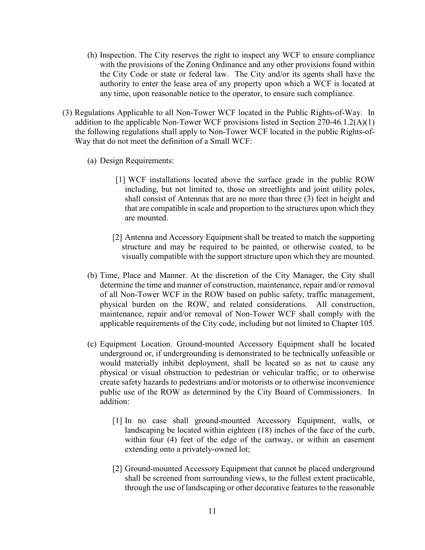- (h) Inspection. The City reserves the right to inspect any WCF to ensure compliance with the provisions of the Zoning Ordinance and any other provisions found within the City Code or state or federal law. The City and/or its agents shall have the authority to enter the lease area of any property upon which a WCF is located at any time, upon reasonable notice to the operator, to ensure such compliance.
- (3) Regulations Applicable to all Non-Tower WCF located in the Public Rights-of-Way. In addition to the applicable Non-Tower WCF provisions listed in Section 270-46.1.2(A)(1) the following regulations shall apply to Non-Tower WCF located in the public Rights-of-Way that do not meet the definition of a Small WCF:
	- (a) Design Requirements:
		- [1] WCF installations located above the surface grade in the public ROW including, but not limited to, those on streetlights and joint utility poles, shall consist of Antennas that are no more than three (3) feet in height and that are compatible in scale and proportion to the structures upon which they are mounted.
		- [2] Antenna and Accessory Equipment shall be treated to match the supporting structure and may be required to be painted, or otherwise coated, to be visually compatible with the support structure upon which they are mounted.
	- (b) Time, Place and Manner. At the discretion of the City Manager, the City shall determine the time and manner of construction, maintenance, repair and/or removal of all Non-Tower WCF in the ROW based on public safety, traffic management, physical burden on the ROW, and related considerations. All construction, maintenance, repair and/or removal of Non-Tower WCF shall comply with the applicable requirements of the City code, including but not limited to Chapter 105.
	- (c) Equipment Location. Ground-mounted Accessory Equipment shall be located underground or, if undergrounding is demonstrated to be technically unfeasible or would materially inhibit deployment, shall be located so as not to cause any physical or visual obstruction to pedestrian or vehicular traffic, or to otherwise create safety hazards to pedestrians and/or motorists or to otherwise inconvenience public use of the ROW as determined by the City Board of Commissioners. In addition:
		- [1] In no case shall ground-mounted Accessory Equipment, walls, or landscaping be located within eighteen (18) inches of the face of the curb, within four (4) feet of the edge of the cartway, or within an easement extending onto a privately-owned lot;
		- [2] Ground-mounted Accessory Equipment that cannot be placed underground shall be screened from surrounding views, to the fullest extent practicable, through the use of landscaping or other decorative features to the reasonable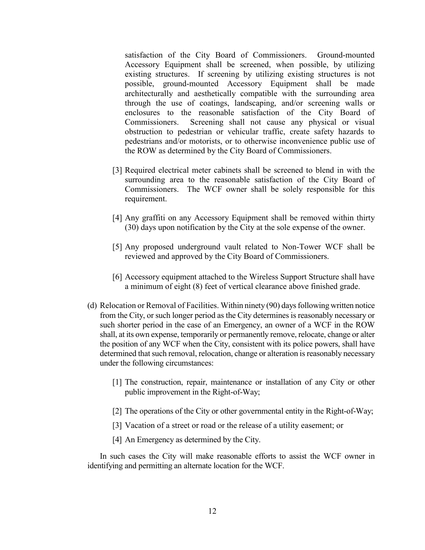satisfaction of the City Board of Commissioners. Ground-mounted Accessory Equipment shall be screened, when possible, by utilizing existing structures. If screening by utilizing existing structures is not possible, ground-mounted Accessory Equipment shall be made architecturally and aesthetically compatible with the surrounding area through the use of coatings, landscaping, and/or screening walls or enclosures to the reasonable satisfaction of the City Board of Commissioners. Screening shall not cause any physical or visual obstruction to pedestrian or vehicular traffic, create safety hazards to pedestrians and/or motorists, or to otherwise inconvenience public use of the ROW as determined by the City Board of Commissioners.

- [3] Required electrical meter cabinets shall be screened to blend in with the surrounding area to the reasonable satisfaction of the City Board of Commissioners. The WCF owner shall be solely responsible for this requirement.
- [4] Any graffiti on any Accessory Equipment shall be removed within thirty (30) days upon notification by the City at the sole expense of the owner.
- [5] Any proposed underground vault related to Non-Tower WCF shall be reviewed and approved by the City Board of Commissioners.
- [6] Accessory equipment attached to the Wireless Support Structure shall have a minimum of eight (8) feet of vertical clearance above finished grade.
- (d) Relocation or Removal of Facilities. Within ninety (90) days following written notice from the City, or such longer period as the City determines is reasonably necessary or such shorter period in the case of an Emergency, an owner of a WCF in the ROW shall, at its own expense, temporarily or permanently remove, relocate, change or alter the position of any WCF when the City, consistent with its police powers, shall have determined that such removal, relocation, change or alteration is reasonably necessary under the following circumstances:
	- [1] The construction, repair, maintenance or installation of any City or other public improvement in the Right-of-Way;
	- [2] The operations of the City or other governmental entity in the Right-of-Way;
	- [3] Vacation of a street or road or the release of a utility easement; or
	- [4] An Emergency as determined by the City.

In such cases the City will make reasonable efforts to assist the WCF owner in identifying and permitting an alternate location for the WCF.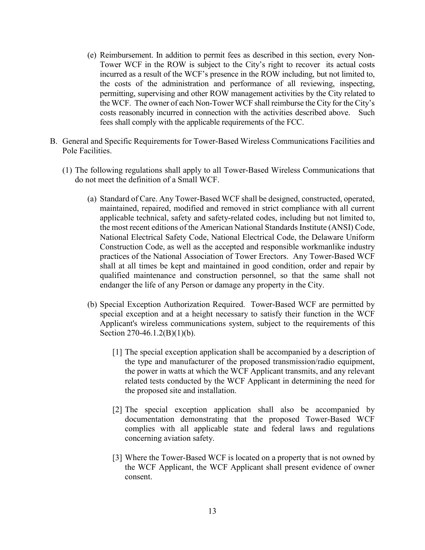- (e) Reimbursement. In addition to permit fees as described in this section, every Non-Tower WCF in the ROW is subject to the City's right to recover its actual costs incurred as a result of the WCF's presence in the ROW including, but not limited to, the costs of the administration and performance of all reviewing, inspecting, permitting, supervising and other ROW management activities by the City related to the WCF. The owner of each Non-Tower WCF shall reimburse the City for the City's costs reasonably incurred in connection with the activities described above. Such fees shall comply with the applicable requirements of the FCC.
- B. General and Specific Requirements for Tower-Based Wireless Communications Facilities and Pole Facilities.
	- (1) The following regulations shall apply to all Tower-Based Wireless Communications that do not meet the definition of a Small WCF.
		- (a) Standard of Care. Any Tower-Based WCF shall be designed, constructed, operated, maintained, repaired, modified and removed in strict compliance with all current applicable technical, safety and safety-related codes, including but not limited to, the most recent editions of the American National Standards Institute (ANSI) Code, National Electrical Safety Code, National Electrical Code, the Delaware Uniform Construction Code, as well as the accepted and responsible workmanlike industry practices of the National Association of Tower Erectors. Any Tower-Based WCF shall at all times be kept and maintained in good condition, order and repair by qualified maintenance and construction personnel, so that the same shall not endanger the life of any Person or damage any property in the City.
		- (b) Special Exception Authorization Required. Tower-Based WCF are permitted by special exception and at a height necessary to satisfy their function in the WCF Applicant's wireless communications system, subject to the requirements of this Section 270-46.1.2(B)(1)(b).
			- [1] The special exception application shall be accompanied by a description of the type and manufacturer of the proposed transmission/radio equipment, the power in watts at which the WCF Applicant transmits, and any relevant related tests conducted by the WCF Applicant in determining the need for the proposed site and installation.
			- [2] The special exception application shall also be accompanied by documentation demonstrating that the proposed Tower-Based WCF complies with all applicable state and federal laws and regulations concerning aviation safety.
			- [3] Where the Tower-Based WCF is located on a property that is not owned by the WCF Applicant, the WCF Applicant shall present evidence of owner consent.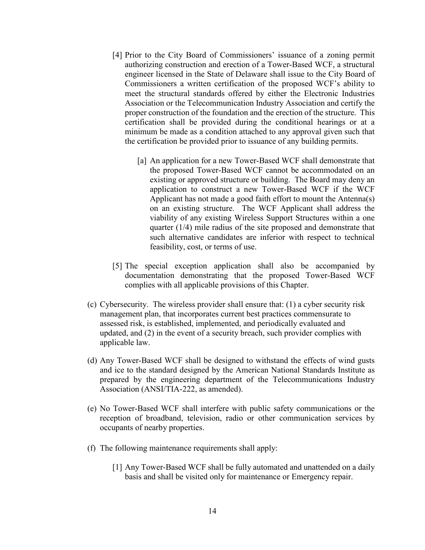- [4] Prior to the City Board of Commissioners' issuance of a zoning permit authorizing construction and erection of a Tower-Based WCF, a structural engineer licensed in the State of Delaware shall issue to the City Board of Commissioners a written certification of the proposed WCF's ability to meet the structural standards offered by either the Electronic Industries Association or the Telecommunication Industry Association and certify the proper construction of the foundation and the erection of the structure. This certification shall be provided during the conditional hearings or at a minimum be made as a condition attached to any approval given such that the certification be provided prior to issuance of any building permits.
	- [a] An application for a new Tower-Based WCF shall demonstrate that the proposed Tower-Based WCF cannot be accommodated on an existing or approved structure or building. The Board may deny an application to construct a new Tower-Based WCF if the WCF Applicant has not made a good faith effort to mount the Antenna(s) on an existing structure. The WCF Applicant shall address the viability of any existing Wireless Support Structures within a one quarter (1/4) mile radius of the site proposed and demonstrate that such alternative candidates are inferior with respect to technical feasibility, cost, or terms of use.
- [5] The special exception application shall also be accompanied by documentation demonstrating that the proposed Tower-Based WCF complies with all applicable provisions of this Chapter.
- (c) Cybersecurity. The wireless provider shall ensure that: (1) a cyber security risk management plan, that incorporates current best practices commensurate to assessed risk, is established, implemented, and periodically evaluated and updated, and (2) in the event of a security breach, such provider complies with applicable law.
- (d) Any Tower-Based WCF shall be designed to withstand the effects of wind gusts and ice to the standard designed by the American National Standards Institute as prepared by the engineering department of the Telecommunications Industry Association (ANSI/TIA-222, as amended).
- (e) No Tower-Based WCF shall interfere with public safety communications or the reception of broadband, television, radio or other communication services by occupants of nearby properties.
- (f) The following maintenance requirements shall apply:
	- [1] Any Tower-Based WCF shall be fully automated and unattended on a daily basis and shall be visited only for maintenance or Emergency repair.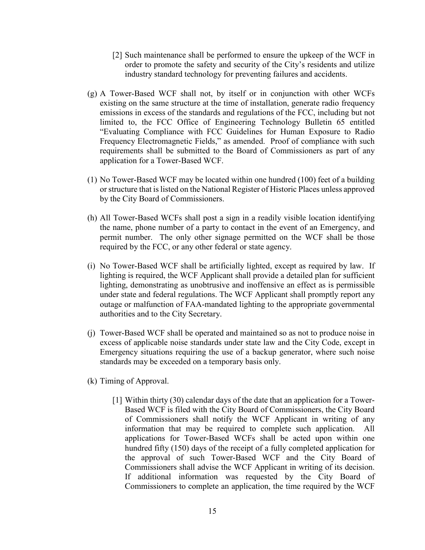- [2] Such maintenance shall be performed to ensure the upkeep of the WCF in order to promote the safety and security of the City's residents and utilize industry standard technology for preventing failures and accidents.
- (g) A Tower-Based WCF shall not, by itself or in conjunction with other WCFs existing on the same structure at the time of installation, generate radio frequency emissions in excess of the standards and regulations of the FCC, including but not limited to, the FCC Office of Engineering Technology Bulletin 65 entitled "Evaluating Compliance with FCC Guidelines for Human Exposure to Radio Frequency Electromagnetic Fields," as amended. Proof of compliance with such requirements shall be submitted to the Board of Commissioners as part of any application for a Tower-Based WCF.
- (1) No Tower-Based WCF may be located within one hundred (100) feet of a building or structure that is listed on the National Register of Historic Places unless approved by the City Board of Commissioners.
- (h) All Tower-Based WCFs shall post a sign in a readily visible location identifying the name, phone number of a party to contact in the event of an Emergency, and permit number. The only other signage permitted on the WCF shall be those required by the FCC, or any other federal or state agency.
- (i) No Tower-Based WCF shall be artificially lighted, except as required by law. If lighting is required, the WCF Applicant shall provide a detailed plan for sufficient lighting, demonstrating as unobtrusive and inoffensive an effect as is permissible under state and federal regulations. The WCF Applicant shall promptly report any outage or malfunction of FAA-mandated lighting to the appropriate governmental authorities and to the City Secretary.
- (j) Tower-Based WCF shall be operated and maintained so as not to produce noise in excess of applicable noise standards under state law and the City Code, except in Emergency situations requiring the use of a backup generator, where such noise standards may be exceeded on a temporary basis only.
- (k) Timing of Approval.
	- [1] Within thirty (30) calendar days of the date that an application for a Tower-Based WCF is filed with the City Board of Commissioners, the City Board of Commissioners shall notify the WCF Applicant in writing of any information that may be required to complete such application. All applications for Tower-Based WCFs shall be acted upon within one hundred fifty (150) days of the receipt of a fully completed application for the approval of such Tower-Based WCF and the City Board of Commissioners shall advise the WCF Applicant in writing of its decision. If additional information was requested by the City Board of Commissioners to complete an application, the time required by the WCF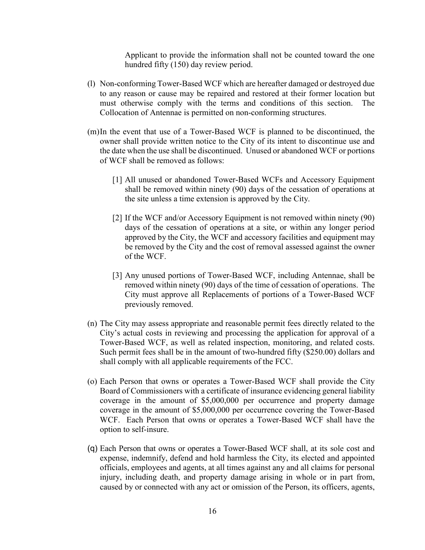Applicant to provide the information shall not be counted toward the one hundred fifty (150) day review period.

- (l) Non-conforming Tower-Based WCF which are hereafter damaged or destroyed due to any reason or cause may be repaired and restored at their former location but must otherwise comply with the terms and conditions of this section. The Collocation of Antennae is permitted on non-conforming structures.
- (m)In the event that use of a Tower-Based WCF is planned to be discontinued, the owner shall provide written notice to the City of its intent to discontinue use and the date when the use shall be discontinued. Unused or abandoned WCF or portions of WCF shall be removed as follows:
	- [1] All unused or abandoned Tower-Based WCFs and Accessory Equipment shall be removed within ninety (90) days of the cessation of operations at the site unless a time extension is approved by the City.
	- [2] If the WCF and/or Accessory Equipment is not removed within ninety (90) days of the cessation of operations at a site, or within any longer period approved by the City, the WCF and accessory facilities and equipment may be removed by the City and the cost of removal assessed against the owner of the WCF.
	- [3] Any unused portions of Tower-Based WCF, including Antennae, shall be removed within ninety (90) days of the time of cessation of operations. The City must approve all Replacements of portions of a Tower-Based WCF previously removed.
- (n) The City may assess appropriate and reasonable permit fees directly related to the City's actual costs in reviewing and processing the application for approval of a Tower-Based WCF, as well as related inspection, monitoring, and related costs. Such permit fees shall be in the amount of two-hundred fifty (\$250.00) dollars and shall comply with all applicable requirements of the FCC.
- (o) Each Person that owns or operates a Tower-Based WCF shall provide the City Board of Commissioners with a certificate of insurance evidencing general liability coverage in the amount of \$5,000,000 per occurrence and property damage coverage in the amount of \$5,000,000 per occurrence covering the Tower-Based WCF. Each Person that owns or operates a Tower-Based WCF shall have the option to self-insure.
- (q) Each Person that owns or operates a Tower-Based WCF shall, at its sole cost and expense, indemnify, defend and hold harmless the City, its elected and appointed officials, employees and agents, at all times against any and all claims for personal injury, including death, and property damage arising in whole or in part from, caused by or connected with any act or omission of the Person, its officers, agents,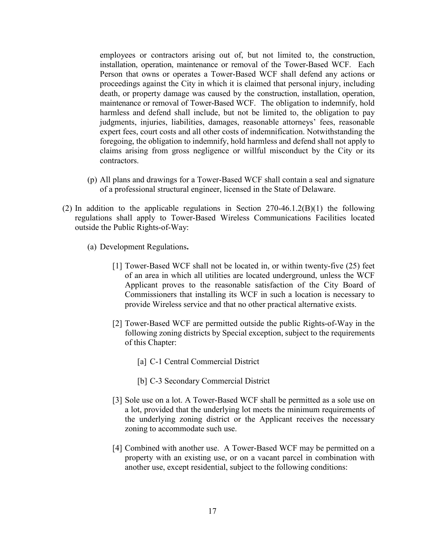employees or contractors arising out of, but not limited to, the construction, installation, operation, maintenance or removal of the Tower-Based WCF. Each Person that owns or operates a Tower-Based WCF shall defend any actions or proceedings against the City in which it is claimed that personal injury, including death, or property damage was caused by the construction, installation, operation, maintenance or removal of Tower-Based WCF. The obligation to indemnify, hold harmless and defend shall include, but not be limited to, the obligation to pay judgments, injuries, liabilities, damages, reasonable attorneys' fees, reasonable expert fees, court costs and all other costs of indemnification. Notwithstanding the foregoing, the obligation to indemnify, hold harmless and defend shall not apply to claims arising from gross negligence or willful misconduct by the City or its contractors.

- (p) All plans and drawings for a Tower-Based WCF shall contain a seal and signature of a professional structural engineer, licensed in the State of Delaware.
- (2) In addition to the applicable regulations in Section  $270-46.1.2(B)(1)$  the following regulations shall apply to Tower-Based Wireless Communications Facilities located outside the Public Rights-of-Way:
	- (a) Development Regulations**.**
		- [1] Tower-Based WCF shall not be located in, or within twenty-five (25) feet of an area in which all utilities are located underground, unless the WCF Applicant proves to the reasonable satisfaction of the City Board of Commissioners that installing its WCF in such a location is necessary to provide Wireless service and that no other practical alternative exists.
		- [2] Tower-Based WCF are permitted outside the public Rights-of-Way in the following zoning districts by Special exception, subject to the requirements of this Chapter:
			- [a] C-1 Central Commercial District
			- [b] C-3 Secondary Commercial District
		- [3] Sole use on a lot. A Tower-Based WCF shall be permitted as a sole use on a lot, provided that the underlying lot meets the minimum requirements of the underlying zoning district or the Applicant receives the necessary zoning to accommodate such use.
		- [4] Combined with another use. A Tower-Based WCF may be permitted on a property with an existing use, or on a vacant parcel in combination with another use, except residential, subject to the following conditions: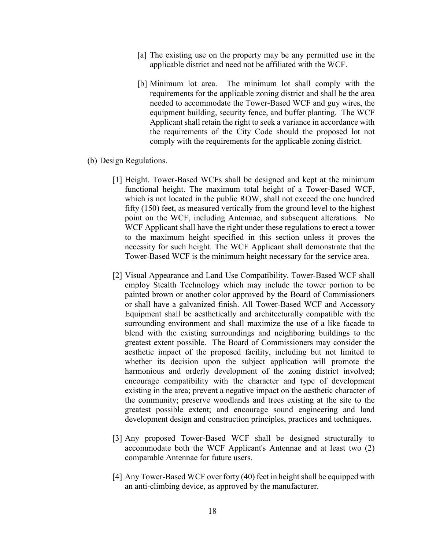- [a] The existing use on the property may be any permitted use in the applicable district and need not be affiliated with the WCF.
- [b] Minimum lot area. The minimum lot shall comply with the requirements for the applicable zoning district and shall be the area needed to accommodate the Tower-Based WCF and guy wires, the equipment building, security fence, and buffer planting. The WCF Applicant shall retain the right to seek a variance in accordance with the requirements of the City Code should the proposed lot not comply with the requirements for the applicable zoning district.

#### (b) Design Regulations.

- [1] Height. Tower-Based WCFs shall be designed and kept at the minimum functional height. The maximum total height of a Tower-Based WCF, which is not located in the public ROW, shall not exceed the one hundred fifty (150) feet, as measured vertically from the ground level to the highest point on the WCF, including Antennae, and subsequent alterations. No WCF Applicant shall have the right under these regulations to erect a tower to the maximum height specified in this section unless it proves the necessity for such height. The WCF Applicant shall demonstrate that the Tower-Based WCF is the minimum height necessary for the service area.
- [2] Visual Appearance and Land Use Compatibility. Tower-Based WCF shall employ Stealth Technology which may include the tower portion to be painted brown or another color approved by the Board of Commissioners or shall have a galvanized finish. All Tower-Based WCF and Accessory Equipment shall be aesthetically and architecturally compatible with the surrounding environment and shall maximize the use of a like facade to blend with the existing surroundings and neighboring buildings to the greatest extent possible. The Board of Commissioners may consider the aesthetic impact of the proposed facility, including but not limited to whether its decision upon the subject application will promote the harmonious and orderly development of the zoning district involved; encourage compatibility with the character and type of development existing in the area; prevent a negative impact on the aesthetic character of the community; preserve woodlands and trees existing at the site to the greatest possible extent; and encourage sound engineering and land development design and construction principles, practices and techniques.
- [3] Any proposed Tower-Based WCF shall be designed structurally to accommodate both the WCF Applicant's Antennae and at least two (2) comparable Antennae for future users.
- [4] Any Tower-Based WCF over forty (40) feet in height shall be equipped with an anti-climbing device, as approved by the manufacturer.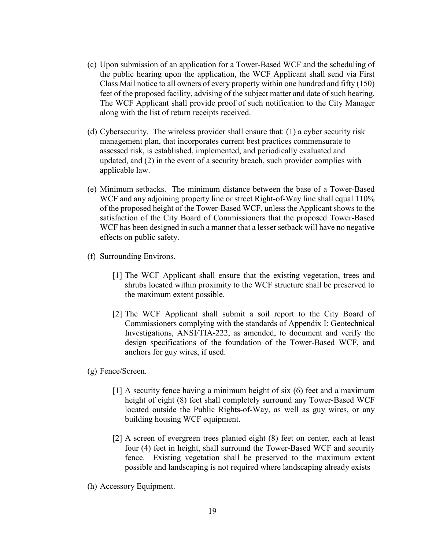- (c) Upon submission of an application for a Tower-Based WCF and the scheduling of the public hearing upon the application, the WCF Applicant shall send via First Class Mail notice to all owners of every property within one hundred and fifty (150) feet of the proposed facility, advising of the subject matter and date of such hearing. The WCF Applicant shall provide proof of such notification to the City Manager along with the list of return receipts received.
- (d) Cybersecurity. The wireless provider shall ensure that: (1) a cyber security risk management plan, that incorporates current best practices commensurate to assessed risk, is established, implemented, and periodically evaluated and updated, and (2) in the event of a security breach, such provider complies with applicable law.
- (e) Minimum setbacks. The minimum distance between the base of a Tower-Based WCF and any adjoining property line or street Right-of-Way line shall equal 110% of the proposed height of the Tower-Based WCF, unless the Applicant shows to the satisfaction of the City Board of Commissioners that the proposed Tower-Based WCF has been designed in such a manner that a lesser setback will have no negative effects on public safety.
- (f) Surrounding Environs.
	- [1] The WCF Applicant shall ensure that the existing vegetation, trees and shrubs located within proximity to the WCF structure shall be preserved to the maximum extent possible.
	- [2] The WCF Applicant shall submit a soil report to the City Board of Commissioners complying with the standards of Appendix I: Geotechnical Investigations, ANSI/TIA-222, as amended, to document and verify the design specifications of the foundation of the Tower-Based WCF, and anchors for guy wires, if used.
- (g) Fence/Screen.
	- [1] A security fence having a minimum height of six (6) feet and a maximum height of eight (8) feet shall completely surround any Tower-Based WCF located outside the Public Rights-of-Way, as well as guy wires, or any building housing WCF equipment.
	- [2] A screen of evergreen trees planted eight (8) feet on center, each at least four (4) feet in height, shall surround the Tower-Based WCF and security fence. Existing vegetation shall be preserved to the maximum extent possible and landscaping is not required where landscaping already exists
- (h) Accessory Equipment.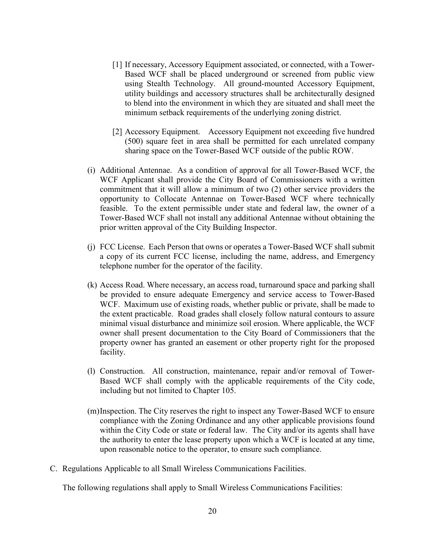- [1] If necessary, Accessory Equipment associated, or connected, with a Tower-Based WCF shall be placed underground or screened from public view using Stealth Technology. All ground-mounted Accessory Equipment, utility buildings and accessory structures shall be architecturally designed to blend into the environment in which they are situated and shall meet the minimum setback requirements of the underlying zoning district.
- [2] Accessory Equipment. Accessory Equipment not exceeding five hundred (500) square feet in area shall be permitted for each unrelated company sharing space on the Tower-Based WCF outside of the public ROW.
- (i) Additional Antennae. As a condition of approval for all Tower-Based WCF, the WCF Applicant shall provide the City Board of Commissioners with a written commitment that it will allow a minimum of two (2) other service providers the opportunity to Collocate Antennae on Tower-Based WCF where technically feasible. To the extent permissible under state and federal law, the owner of a Tower-Based WCF shall not install any additional Antennae without obtaining the prior written approval of the City Building Inspector.
- (j) FCC License. Each Person that owns or operates a Tower-Based WCF shall submit a copy of its current FCC license, including the name, address, and Emergency telephone number for the operator of the facility.
- (k) Access Road. Where necessary, an access road, turnaround space and parking shall be provided to ensure adequate Emergency and service access to Tower-Based WCF. Maximum use of existing roads, whether public or private, shall be made to the extent practicable. Road grades shall closely follow natural contours to assure minimal visual disturbance and minimize soil erosion. Where applicable, the WCF owner shall present documentation to the City Board of Commissioners that the property owner has granted an easement or other property right for the proposed facility.
- (l) Construction. All construction, maintenance, repair and/or removal of Tower-Based WCF shall comply with the applicable requirements of the City code, including but not limited to Chapter 105.
- (m)Inspection. The City reserves the right to inspect any Tower-Based WCF to ensure compliance with the Zoning Ordinance and any other applicable provisions found within the City Code or state or federal law. The City and/or its agents shall have the authority to enter the lease property upon which a WCF is located at any time, upon reasonable notice to the operator, to ensure such compliance.
- C. Regulations Applicable to all Small Wireless Communications Facilities.

The following regulations shall apply to Small Wireless Communications Facilities: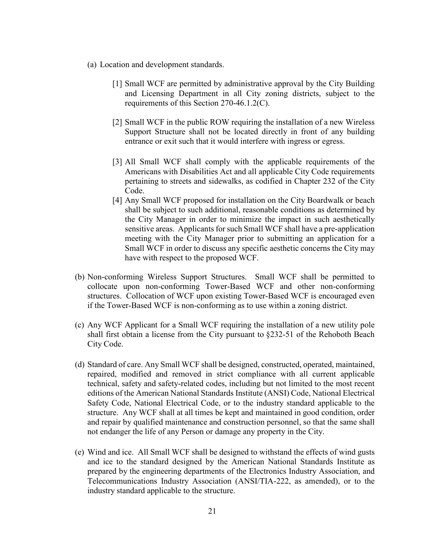- (a) Location and development standards.
	- [1] Small WCF are permitted by administrative approval by the City Building and Licensing Department in all City zoning districts, subject to the requirements of this Section 270-46.1.2(C).
	- [2] Small WCF in the public ROW requiring the installation of a new Wireless Support Structure shall not be located directly in front of any building entrance or exit such that it would interfere with ingress or egress.
	- [3] All Small WCF shall comply with the applicable requirements of the Americans with Disabilities Act and all applicable City Code requirements pertaining to streets and sidewalks, as codified in Chapter 232 of the City Code.
	- [4] Any Small WCF proposed for installation on the City Boardwalk or beach shall be subject to such additional, reasonable conditions as determined by the City Manager in order to minimize the impact in such aesthetically sensitive areas. Applicants for such Small WCF shall have a pre-application meeting with the City Manager prior to submitting an application for a Small WCF in order to discuss any specific aesthetic concerns the City may have with respect to the proposed WCF.
- (b) Non-conforming Wireless Support Structures. Small WCF shall be permitted to collocate upon non-conforming Tower-Based WCF and other non-conforming structures. Collocation of WCF upon existing Tower-Based WCF is encouraged even if the Tower-Based WCF is non-conforming as to use within a zoning district.
- (c) Any WCF Applicant for a Small WCF requiring the installation of a new utility pole shall first obtain a license from the City pursuant to §232-51 of the Rehoboth Beach City Code.
- (d) Standard of care. Any Small WCF shall be designed, constructed, operated, maintained, repaired, modified and removed in strict compliance with all current applicable technical, safety and safety-related codes, including but not limited to the most recent editions of the American National Standards Institute (ANSI) Code, National Electrical Safety Code, National Electrical Code, or to the industry standard applicable to the structure. Any WCF shall at all times be kept and maintained in good condition, order and repair by qualified maintenance and construction personnel, so that the same shall not endanger the life of any Person or damage any property in the City.
- (e) Wind and ice. All Small WCF shall be designed to withstand the effects of wind gusts and ice to the standard designed by the American National Standards Institute as prepared by the engineering departments of the Electronics Industry Association, and Telecommunications Industry Association (ANSI/TIA-222, as amended), or to the industry standard applicable to the structure.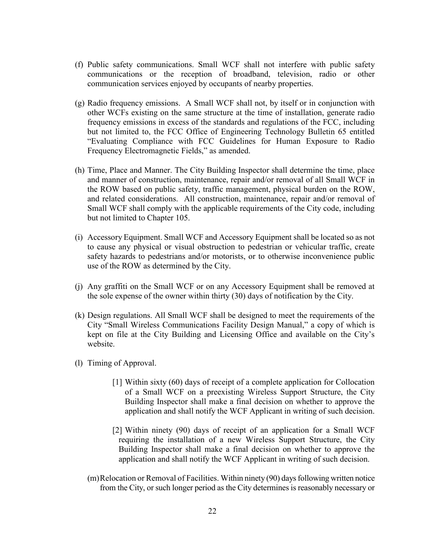- (f) Public safety communications. Small WCF shall not interfere with public safety communications or the reception of broadband, television, radio or other communication services enjoyed by occupants of nearby properties.
- (g) Radio frequency emissions.A Small WCF shall not, by itself or in conjunction with other WCFs existing on the same structure at the time of installation, generate radio frequency emissions in excess of the standards and regulations of the FCC, including but not limited to, the FCC Office of Engineering Technology Bulletin 65 entitled "Evaluating Compliance with FCC Guidelines for Human Exposure to Radio Frequency Electromagnetic Fields," as amended.
- (h) Time, Place and Manner. The City Building Inspector shall determine the time, place and manner of construction, maintenance, repair and/or removal of all Small WCF in the ROW based on public safety, traffic management, physical burden on the ROW, and related considerations. All construction, maintenance, repair and/or removal of Small WCF shall comply with the applicable requirements of the City code, including but not limited to Chapter 105.
- (i) Accessory Equipment. Small WCF and Accessory Equipment shall be located so as not to cause any physical or visual obstruction to pedestrian or vehicular traffic, create safety hazards to pedestrians and/or motorists, or to otherwise inconvenience public use of the ROW as determined by the City.
- (j) Any graffiti on the Small WCF or on any Accessory Equipment shall be removed at the sole expense of the owner within thirty (30) days of notification by the City.
- (k) Design regulations. All Small WCF shall be designed to meet the requirements of the City "Small Wireless Communications Facility Design Manual," a copy of which is kept on file at the City Building and Licensing Office and available on the City's website.
- (l) Timing of Approval.
	- [1] Within sixty (60) days of receipt of a complete application for Collocation of a Small WCF on a preexisting Wireless Support Structure, the City Building Inspector shall make a final decision on whether to approve the application and shall notify the WCF Applicant in writing of such decision.
	- [2] Within ninety (90) days of receipt of an application for a Small WCF requiring the installation of a new Wireless Support Structure, the City Building Inspector shall make a final decision on whether to approve the application and shall notify the WCF Applicant in writing of such decision.
	- (m)Relocation or Removal of Facilities. Within ninety (90) days following written notice from the City, or such longer period as the City determines is reasonably necessary or